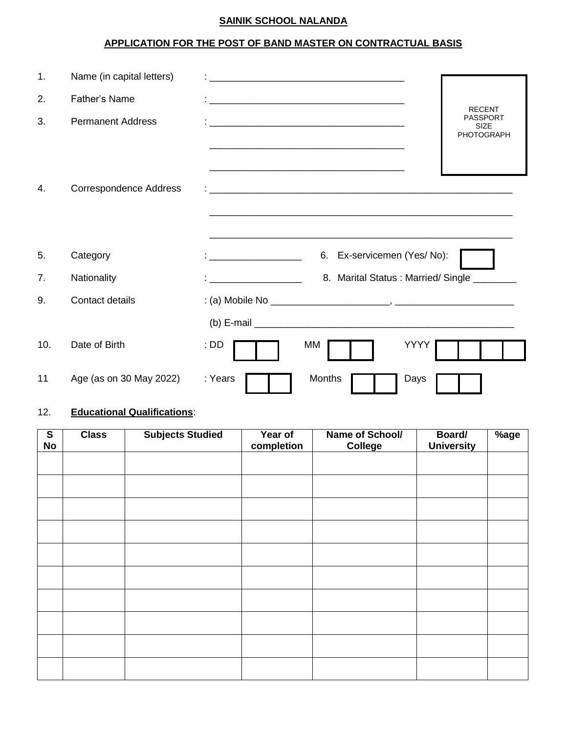## **SAINIK SCHOOL NALANDA**

# **APPLICATION FOR THE POST OF BAND MASTER ON CONTRACTUAL BASIS**

| 1.  | Name (in capital letters)     |                                                                                                                      |                                |
|-----|-------------------------------|----------------------------------------------------------------------------------------------------------------------|--------------------------------|
| 2.  | Father's Name                 |                                                                                                                      | <b>RECENT</b>                  |
| 3.  | <b>Permanent Address</b>      |                                                                                                                      | <b>PASSPORT</b><br><b>SIZE</b> |
|     |                               |                                                                                                                      | PHOTOGRAPH                     |
|     |                               | <u> 1989 - Jan James James James James James James James James James James James James James James James James J</u> |                                |
| 4.  | <b>Correspondence Address</b> |                                                                                                                      |                                |
|     |                               |                                                                                                                      |                                |
|     |                               |                                                                                                                      |                                |
| 5.  | Category                      | 6. Ex-servicemen (Yes/No):<br>the company of the company of the                                                      |                                |
| 7.  | Nationality                   | 8. Marital Status: Married/Single _________                                                                          |                                |
| 9.  | Contact details               |                                                                                                                      |                                |
|     |                               |                                                                                                                      |                                |
| 10. | Date of Birth                 | YYYY<br>$:$ DD<br>МM                                                                                                 |                                |
| 11  | Age (as on 30 May 2022)       | Months<br>: Years<br>Days                                                                                            |                                |

# 12. **Educational Qualifications**:

| $\mathbf{s}$<br><b>No</b> | <b>Class</b> | <b>Subjects Studied</b> | Year of<br>completion | Name of School/<br>College | Board/<br><b>University</b> | %age |
|---------------------------|--------------|-------------------------|-----------------------|----------------------------|-----------------------------|------|
|                           |              |                         |                       |                            |                             |      |
|                           |              |                         |                       |                            |                             |      |
|                           |              |                         |                       |                            |                             |      |
|                           |              |                         |                       |                            |                             |      |
|                           |              |                         |                       |                            |                             |      |
|                           |              |                         |                       |                            |                             |      |
|                           |              |                         |                       |                            |                             |      |
|                           |              |                         |                       |                            |                             |      |
|                           |              |                         |                       |                            |                             |      |
|                           |              |                         |                       |                            |                             |      |
|                           |              |                         |                       |                            |                             |      |